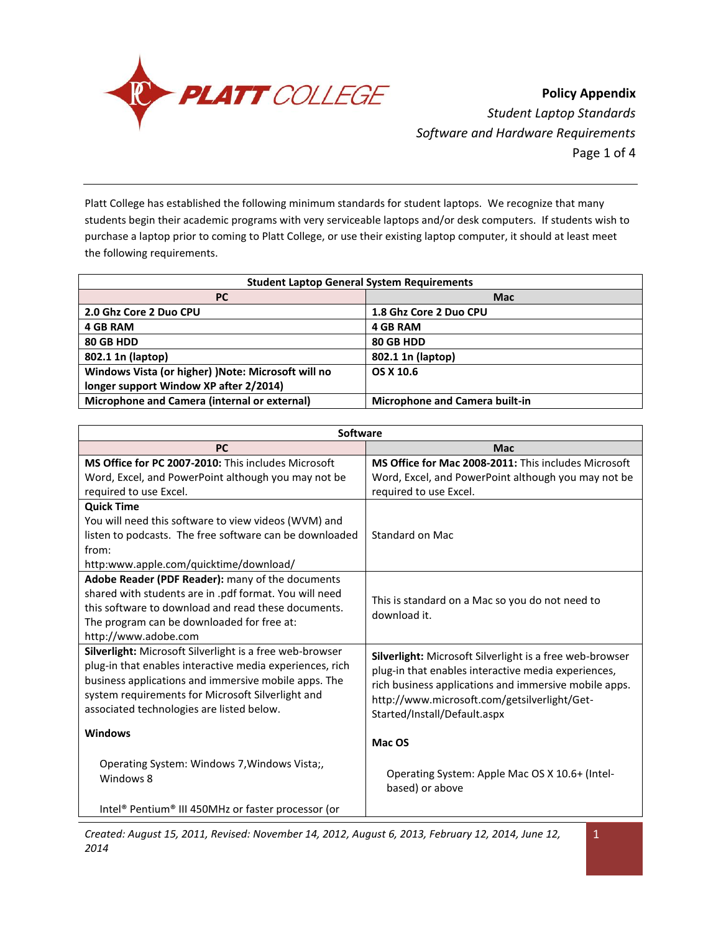

**Policy Appendix** *Student Laptop Standards Software and Hardware Requirements* Page 1 of 4

Platt College has established the following minimum standards for student laptops. We recognize that many students begin their academic programs with very serviceable laptops and/or desk computers. If students wish to purchase a laptop prior to coming to Platt College, or use their existing laptop computer, it should at least meet the following requirements.

| <b>Student Laptop General System Requirements</b>   |                                       |  |
|-----------------------------------------------------|---------------------------------------|--|
| <b>PC</b>                                           | <b>Mac</b>                            |  |
| 2.0 Ghz Core 2 Duo CPU                              | 1.8 Ghz Core 2 Duo CPU                |  |
| <b>4 GB RAM</b>                                     | <b>4 GB RAM</b>                       |  |
| 80 GB HDD                                           | 80 GB HDD                             |  |
| 802.1 1n (laptop)                                   | 802.1 1n (laptop)                     |  |
| Windows Vista (or higher) ) Note: Microsoft will no | OS X 10.6                             |  |
| longer support Window XP after 2/2014)              |                                       |  |
| Microphone and Camera (internal or external)        | <b>Microphone and Camera built-in</b> |  |

| Software                                                 |                                                          |  |
|----------------------------------------------------------|----------------------------------------------------------|--|
| <b>PC</b>                                                | <b>Mac</b>                                               |  |
| MS Office for PC 2007-2010: This includes Microsoft      | MS Office for Mac 2008-2011: This includes Microsoft     |  |
| Word, Excel, and PowerPoint although you may not be      | Word, Excel, and PowerPoint although you may not be      |  |
| required to use Excel.                                   | required to use Excel.                                   |  |
| <b>Quick Time</b>                                        |                                                          |  |
| You will need this software to view videos (WVM) and     |                                                          |  |
| listen to podcasts. The free software can be downloaded  | Standard on Mac                                          |  |
| from:                                                    |                                                          |  |
| http:www.apple.com/quicktime/download/                   |                                                          |  |
| Adobe Reader (PDF Reader): many of the documents         |                                                          |  |
| shared with students are in .pdf format. You will need   | This is standard on a Mac so you do not need to          |  |
| this software to download and read these documents.      | download it.                                             |  |
| The program can be downloaded for free at:               |                                                          |  |
| http://www.adobe.com                                     |                                                          |  |
| Silverlight: Microsoft Silverlight is a free web-browser | Silverlight: Microsoft Silverlight is a free web-browser |  |
| plug-in that enables interactive media experiences, rich | plug-in that enables interactive media experiences,      |  |
| business applications and immersive mobile apps. The     | rich business applications and immersive mobile apps.    |  |
| system requirements for Microsoft Silverlight and        | http://www.microsoft.com/getsilverlight/Get-             |  |
| associated technologies are listed below.                | Started/Install/Default.aspx                             |  |
| <b>Windows</b>                                           |                                                          |  |
|                                                          | Mac OS                                                   |  |
| Operating System: Windows 7, Windows Vista;,             |                                                          |  |
| Windows 8                                                | Operating System: Apple Mac OS X 10.6+ (Intel-           |  |
|                                                          | based) or above                                          |  |
| Intel® Pentium® III 450MHz or faster processor (or       |                                                          |  |

*Created: August 15, 2011, Revised: November 14, 2012, August 6, 2013, February 12, 2014, June 12, 2014*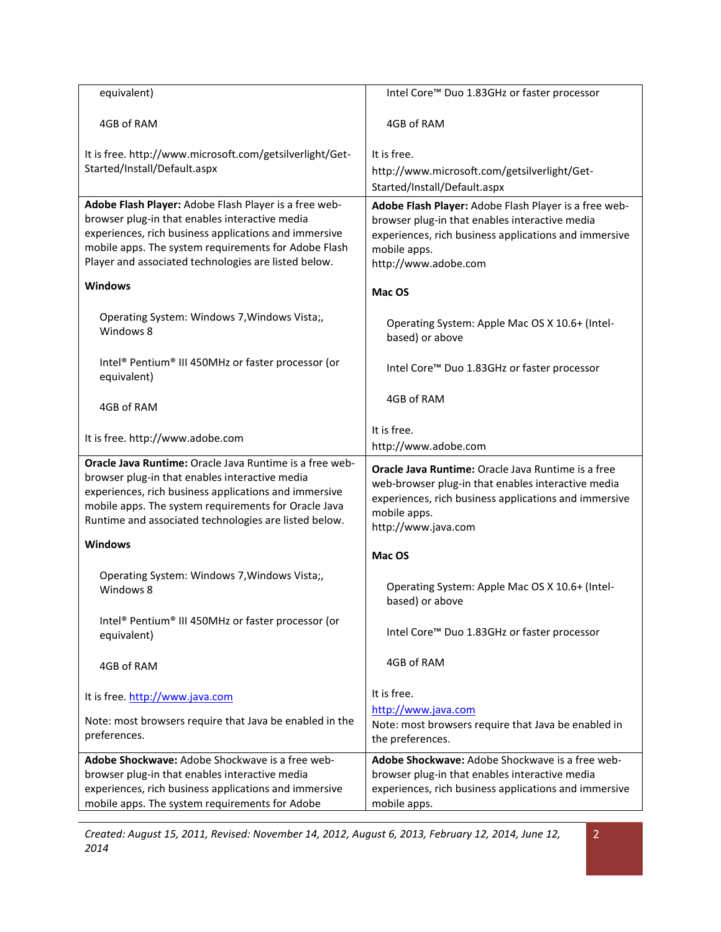| equivalent)                                                                                                                                                                                                                                                                         | Intel Core™ Duo 1.83GHz or faster processor                                                                                                                                                              |
|-------------------------------------------------------------------------------------------------------------------------------------------------------------------------------------------------------------------------------------------------------------------------------------|----------------------------------------------------------------------------------------------------------------------------------------------------------------------------------------------------------|
| 4GB of RAM                                                                                                                                                                                                                                                                          | 4GB of RAM                                                                                                                                                                                               |
| It is free. http://www.microsoft.com/getsilverlight/Get-                                                                                                                                                                                                                            | It is free.                                                                                                                                                                                              |
| Started/Install/Default.aspx                                                                                                                                                                                                                                                        | http://www.microsoft.com/getsilverlight/Get-                                                                                                                                                             |
|                                                                                                                                                                                                                                                                                     | Started/Install/Default.aspx                                                                                                                                                                             |
| Adobe Flash Player: Adobe Flash Player is a free web-<br>browser plug-in that enables interactive media<br>experiences, rich business applications and immersive<br>mobile apps. The system requirements for Adobe Flash<br>Player and associated technologies are listed below.    | Adobe Flash Player: Adobe Flash Player is a free web-<br>browser plug-in that enables interactive media<br>experiences, rich business applications and immersive<br>mobile apps.<br>http://www.adobe.com |
| <b>Windows</b>                                                                                                                                                                                                                                                                      | Mac OS                                                                                                                                                                                                   |
| Operating System: Windows 7, Windows Vista;,<br>Windows 8                                                                                                                                                                                                                           | Operating System: Apple Mac OS X 10.6+ (Intel-<br>based) or above                                                                                                                                        |
| Intel® Pentium® III 450MHz or faster processor (or<br>equivalent)                                                                                                                                                                                                                   | Intel Core™ Duo 1.83GHz or faster processor                                                                                                                                                              |
| 4GB of RAM                                                                                                                                                                                                                                                                          | 4GB of RAM                                                                                                                                                                                               |
| It is free. http://www.adobe.com                                                                                                                                                                                                                                                    | It is free.<br>http://www.adobe.com                                                                                                                                                                      |
| Oracle Java Runtime: Oracle Java Runtime is a free web-<br>browser plug-in that enables interactive media<br>experiences, rich business applications and immersive<br>mobile apps. The system requirements for Oracle Java<br>Runtime and associated technologies are listed below. | Oracle Java Runtime: Oracle Java Runtime is a free<br>web-browser plug-in that enables interactive media<br>experiences, rich business applications and immersive<br>mobile apps.<br>http://www.java.com |
| <b>Windows</b>                                                                                                                                                                                                                                                                      | Mac OS                                                                                                                                                                                                   |
| Operating System: Windows 7, Windows Vista;,<br>Windows 8                                                                                                                                                                                                                           | Operating System: Apple Mac OS X 10.6+ (Intel-<br>based) or above                                                                                                                                        |
| Intel® Pentium® III 450MHz or faster processor (or<br>equivalent)                                                                                                                                                                                                                   | Intel Core™ Duo 1.83GHz or faster processor                                                                                                                                                              |
| 4GB of RAM                                                                                                                                                                                                                                                                          | 4GB of RAM                                                                                                                                                                                               |
| It is free. http://www.java.com                                                                                                                                                                                                                                                     | It is free.                                                                                                                                                                                              |
| Note: most browsers require that Java be enabled in the<br>preferences.                                                                                                                                                                                                             | http://www.java.com<br>Note: most browsers require that Java be enabled in<br>the preferences.                                                                                                           |
| Adobe Shockwave: Adobe Shockwave is a free web-<br>browser plug-in that enables interactive media<br>experiences, rich business applications and immersive<br>mobile apps. The system requirements for Adobe                                                                        | Adobe Shockwave: Adobe Shockwave is a free web-<br>browser plug-in that enables interactive media<br>experiences, rich business applications and immersive<br>mobile apps.                               |

*Created: August 15, 2011, Revised: November 14, 2012, August 6, 2013, February 12, 2014, June 12, 2014*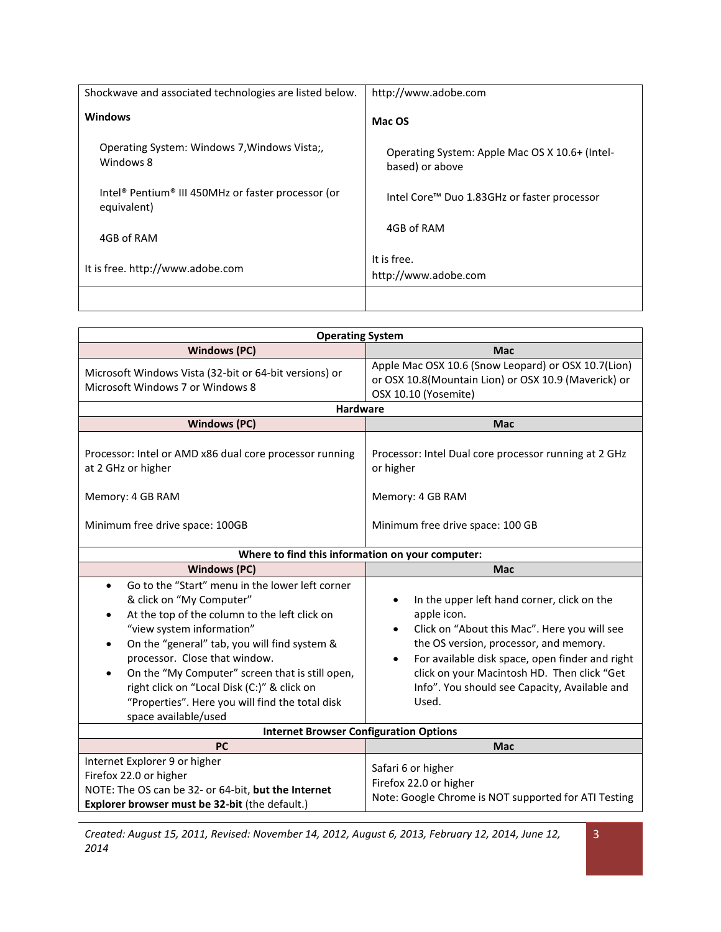| Shockwave and associated technologies are listed below.                                   | http://www.adobe.com                                              |
|-------------------------------------------------------------------------------------------|-------------------------------------------------------------------|
| <b>Windows</b>                                                                            | Mac OS                                                            |
| Operating System: Windows 7, Windows Vista;<br>Windows 8                                  | Operating System: Apple Mac OS X 10.6+ (Intel-<br>based) or above |
| Intel <sup>®</sup> Pentium <sup>®</sup> III 450MHz or faster processor (or<br>equivalent) | Intel Core™ Duo 1.83GHz or faster processor                       |
| 4GB of RAM                                                                                | 4GB of RAM                                                        |
| It is free. http://www.adobe.com                                                          | It is free.<br>http://www.adobe.com                               |
|                                                                                           |                                                                   |

| <b>Operating System</b>                                                                                                                                                                                                                                                                                                                                                                                                                                        |                                                                                                                                                                                                                                                                                                                                            |  |  |
|----------------------------------------------------------------------------------------------------------------------------------------------------------------------------------------------------------------------------------------------------------------------------------------------------------------------------------------------------------------------------------------------------------------------------------------------------------------|--------------------------------------------------------------------------------------------------------------------------------------------------------------------------------------------------------------------------------------------------------------------------------------------------------------------------------------------|--|--|
| <b>Windows (PC)</b>                                                                                                                                                                                                                                                                                                                                                                                                                                            | <b>Mac</b>                                                                                                                                                                                                                                                                                                                                 |  |  |
| Microsoft Windows Vista (32-bit or 64-bit versions) or<br>Microsoft Windows 7 or Windows 8                                                                                                                                                                                                                                                                                                                                                                     | Apple Mac OSX 10.6 (Snow Leopard) or OSX 10.7(Lion)<br>or OSX 10.8(Mountain Lion) or OSX 10.9 (Maverick) or<br>OSX 10.10 (Yosemite)                                                                                                                                                                                                        |  |  |
| Hardware                                                                                                                                                                                                                                                                                                                                                                                                                                                       |                                                                                                                                                                                                                                                                                                                                            |  |  |
| <b>Windows (PC)</b>                                                                                                                                                                                                                                                                                                                                                                                                                                            | <b>Mac</b>                                                                                                                                                                                                                                                                                                                                 |  |  |
| Processor: Intel or AMD x86 dual core processor running<br>at 2 GHz or higher                                                                                                                                                                                                                                                                                                                                                                                  | Processor: Intel Dual core processor running at 2 GHz<br>or higher                                                                                                                                                                                                                                                                         |  |  |
| Memory: 4 GB RAM                                                                                                                                                                                                                                                                                                                                                                                                                                               | Memory: 4 GB RAM                                                                                                                                                                                                                                                                                                                           |  |  |
| Minimum free drive space: 100GB                                                                                                                                                                                                                                                                                                                                                                                                                                | Minimum free drive space: 100 GB                                                                                                                                                                                                                                                                                                           |  |  |
|                                                                                                                                                                                                                                                                                                                                                                                                                                                                | Where to find this information on your computer:                                                                                                                                                                                                                                                                                           |  |  |
| <b>Windows (PC)</b>                                                                                                                                                                                                                                                                                                                                                                                                                                            | <b>Mac</b>                                                                                                                                                                                                                                                                                                                                 |  |  |
| Go to the "Start" menu in the lower left corner<br>$\bullet$<br>& click on "My Computer"<br>At the top of the column to the left click on<br>$\bullet$<br>"view system information"<br>On the "general" tab, you will find system &<br>processor. Close that window.<br>On the "My Computer" screen that is still open,<br>$\bullet$<br>right click on "Local Disk (C:)" & click on<br>"Properties". Here you will find the total disk<br>space available/used | In the upper left hand corner, click on the<br>apple icon.<br>Click on "About this Mac". Here you will see<br>$\bullet$<br>the OS version, processor, and memory.<br>For available disk space, open finder and right<br>$\bullet$<br>click on your Macintosh HD. Then click "Get<br>Info". You should see Capacity, Available and<br>Used. |  |  |
|                                                                                                                                                                                                                                                                                                                                                                                                                                                                | <b>Internet Browser Configuration Options</b>                                                                                                                                                                                                                                                                                              |  |  |
| <b>PC</b>                                                                                                                                                                                                                                                                                                                                                                                                                                                      | <b>Mac</b>                                                                                                                                                                                                                                                                                                                                 |  |  |
| Internet Explorer 9 or higher<br>Firefox 22.0 or higher<br>NOTE: The OS can be 32- or 64-bit, but the Internet<br>Explorer browser must be 32-bit (the default.)                                                                                                                                                                                                                                                                                               | Safari 6 or higher<br>Firefox 22.0 or higher<br>Note: Google Chrome is NOT supported for ATI Testing                                                                                                                                                                                                                                       |  |  |

*Created: August 15, 2011, Revised: November 14, 2012, August 6, 2013, February 12, 2014, June 12, 2014* 

3